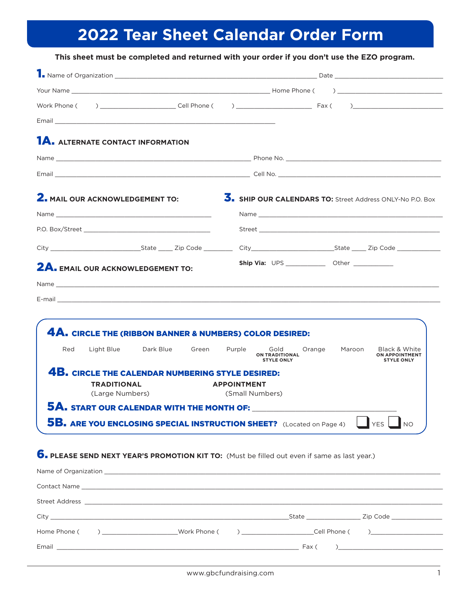# **2022 Tear Sheet Calendar Order Form**

|                                                                                                                                                                                                                                                                                                                                                                                                                                  | Ship Via: UPS ______________ Other _____________                                                                                      |
|----------------------------------------------------------------------------------------------------------------------------------------------------------------------------------------------------------------------------------------------------------------------------------------------------------------------------------------------------------------------------------------------------------------------------------|---------------------------------------------------------------------------------------------------------------------------------------|
|                                                                                                                                                                                                                                                                                                                                                                                                                                  |                                                                                                                                       |
| Email <b>Exercise Service Service Service Service Service Service Service Service Service Service Service Service Service Service Service Service Service Service Service Service Service Service Service Service Service Servic</b><br><b>1A.</b> ALTERNATE CONTACT INFORMATION<br><b>2.</b> MAIL OUR ACKNOWLEDGEMENT TO:<br>City Code City State Cip Code City City State Zip Code<br><b>2A.</b> EMAIL OUR ACKNOWLEDGEMENT TO: | 5. SHIP OUR CALENDARS TO: Street Address ONLY-No P.O. Box                                                                             |
|                                                                                                                                                                                                                                                                                                                                                                                                                                  |                                                                                                                                       |
|                                                                                                                                                                                                                                                                                                                                                                                                                                  |                                                                                                                                       |
|                                                                                                                                                                                                                                                                                                                                                                                                                                  |                                                                                                                                       |
|                                                                                                                                                                                                                                                                                                                                                                                                                                  |                                                                                                                                       |
|                                                                                                                                                                                                                                                                                                                                                                                                                                  |                                                                                                                                       |
|                                                                                                                                                                                                                                                                                                                                                                                                                                  |                                                                                                                                       |
|                                                                                                                                                                                                                                                                                                                                                                                                                                  |                                                                                                                                       |
|                                                                                                                                                                                                                                                                                                                                                                                                                                  |                                                                                                                                       |
|                                                                                                                                                                                                                                                                                                                                                                                                                                  |                                                                                                                                       |
|                                                                                                                                                                                                                                                                                                                                                                                                                                  |                                                                                                                                       |
|                                                                                                                                                                                                                                                                                                                                                                                                                                  |                                                                                                                                       |
|                                                                                                                                                                                                                                                                                                                                                                                                                                  |                                                                                                                                       |
|                                                                                                                                                                                                                                                                                                                                                                                                                                  |                                                                                                                                       |
| 4A. CIRCLE THE (RIBBON BANNER & NUMBERS) COLOR DESIRED:                                                                                                                                                                                                                                                                                                                                                                          |                                                                                                                                       |
| Red<br>Light Blue<br>Dark Blue Green<br>Purple                                                                                                                                                                                                                                                                                                                                                                                   | Gold<br>Orange<br>Maroon<br>Black & White<br><b>ON TRADITIONAL</b><br><b>ON APPOINTMENT</b><br><b>STYLE ONLY</b><br><b>STYLE ONLY</b> |
| <b>4B. CIRCLE THE CALENDAR NUMBERING STYLE DESIRED:</b>                                                                                                                                                                                                                                                                                                                                                                          |                                                                                                                                       |
| <b>TRADITIONAL</b><br><b>APPOINTMENT</b>                                                                                                                                                                                                                                                                                                                                                                                         |                                                                                                                                       |
| (Large Numbers)<br>(Small Numbers)                                                                                                                                                                                                                                                                                                                                                                                               |                                                                                                                                       |
|                                                                                                                                                                                                                                                                                                                                                                                                                                  |                                                                                                                                       |

### 6. **PLEASE SEND NEXT YEAR'S PROMOTION KIT TO:** (Must be filled out even if same as last year.)

|                                                                                                                           | State and the state of the state of the state of the state of the state of the state of the state of the state | Zip Code <b>Example 2</b>                                                                                                                                                                                                                                                                                                                                                                                                |
|---------------------------------------------------------------------------------------------------------------------------|----------------------------------------------------------------------------------------------------------------|--------------------------------------------------------------------------------------------------------------------------------------------------------------------------------------------------------------------------------------------------------------------------------------------------------------------------------------------------------------------------------------------------------------------------|
|                                                                                                                           |                                                                                                                |                                                                                                                                                                                                                                                                                                                                                                                                                          |
| Email <b>Exercísion Communication Communication</b> Communication Communication Communication Communication Communication |                                                                                                                | $\begin{bmatrix} \n\text{Fax} & \text{O} & \text{O} & \text{O} & \text{O} & \text{O} & \text{O} & \text{O} & \text{O} & \text{O} & \text{O} & \text{O} & \text{O} & \text{O} & \text{O} & \text{O} & \text{O} & \text{O} & \text{O} & \text{O} & \text{O} & \text{O} & \text{O} & \text{O} & \text{O} & \text{O} & \text{O} & \text{O} & \text{O} & \text{O} & \text{O} & \text{O} & \text{O} & \text{O} & \text{O} & \$ |
|                                                                                                                           |                                                                                                                |                                                                                                                                                                                                                                                                                                                                                                                                                          |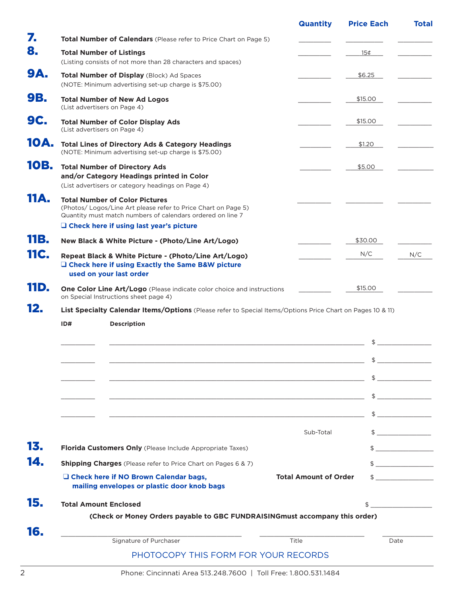|     |                                                                                                                                                                                                                         | <b>Quantity</b>              | <b>Price Each</b> | <b>Total</b>                                                                                                                                                                                                                                                                                                                                                                                                                                                                                                                                                                                                                                                                                                                                                                                                                                                                                                                                                                                                                     |
|-----|-------------------------------------------------------------------------------------------------------------------------------------------------------------------------------------------------------------------------|------------------------------|-------------------|----------------------------------------------------------------------------------------------------------------------------------------------------------------------------------------------------------------------------------------------------------------------------------------------------------------------------------------------------------------------------------------------------------------------------------------------------------------------------------------------------------------------------------------------------------------------------------------------------------------------------------------------------------------------------------------------------------------------------------------------------------------------------------------------------------------------------------------------------------------------------------------------------------------------------------------------------------------------------------------------------------------------------------|
|     | Total Number of Calendars (Please refer to Price Chart on Page 5)                                                                                                                                                       |                              |                   |                                                                                                                                                                                                                                                                                                                                                                                                                                                                                                                                                                                                                                                                                                                                                                                                                                                                                                                                                                                                                                  |
|     | <b>Total Number of Listings</b>                                                                                                                                                                                         |                              | 15¢               |                                                                                                                                                                                                                                                                                                                                                                                                                                                                                                                                                                                                                                                                                                                                                                                                                                                                                                                                                                                                                                  |
|     | (Listing consists of not more than 28 characters and spaces)                                                                                                                                                            |                              |                   |                                                                                                                                                                                                                                                                                                                                                                                                                                                                                                                                                                                                                                                                                                                                                                                                                                                                                                                                                                                                                                  |
|     | Total Number of Display (Block) Ad Spaces<br>(NOTE: Minimum advertising set-up charge is \$75.00)                                                                                                                       |                              | \$6.25            |                                                                                                                                                                                                                                                                                                                                                                                                                                                                                                                                                                                                                                                                                                                                                                                                                                                                                                                                                                                                                                  |
|     | <b>Total Number of New Ad Logos</b><br>(List advertisers on Page 4)                                                                                                                                                     |                              | \$15.00           |                                                                                                                                                                                                                                                                                                                                                                                                                                                                                                                                                                                                                                                                                                                                                                                                                                                                                                                                                                                                                                  |
|     | <b>Total Number of Color Display Ads</b><br>(List advertisers on Page 4)                                                                                                                                                |                              | \$15.00           |                                                                                                                                                                                                                                                                                                                                                                                                                                                                                                                                                                                                                                                                                                                                                                                                                                                                                                                                                                                                                                  |
|     | <b>Total Lines of Directory Ads &amp; Category Headings</b><br>(NOTE: Minimum advertising set-up charge is \$75.00)                                                                                                     |                              | \$1.20            |                                                                                                                                                                                                                                                                                                                                                                                                                                                                                                                                                                                                                                                                                                                                                                                                                                                                                                                                                                                                                                  |
|     | <b>Total Number of Directory Ads</b><br>and/or Category Headings printed in Color                                                                                                                                       |                              | \$5.00            |                                                                                                                                                                                                                                                                                                                                                                                                                                                                                                                                                                                                                                                                                                                                                                                                                                                                                                                                                                                                                                  |
|     | (List advertisers or category headings on Page 4)                                                                                                                                                                       |                              |                   |                                                                                                                                                                                                                                                                                                                                                                                                                                                                                                                                                                                                                                                                                                                                                                                                                                                                                                                                                                                                                                  |
|     | <b>Total Number of Color Pictures</b><br>(Photos/ Logos/Line Art please refer to Price Chart on Page 5)<br>Quantity must match numbers of calendars ordered on line 7<br>$\Box$ Check here if using last year's picture |                              |                   |                                                                                                                                                                                                                                                                                                                                                                                                                                                                                                                                                                                                                                                                                                                                                                                                                                                                                                                                                                                                                                  |
|     |                                                                                                                                                                                                                         |                              | \$30.00           |                                                                                                                                                                                                                                                                                                                                                                                                                                                                                                                                                                                                                                                                                                                                                                                                                                                                                                                                                                                                                                  |
|     | New Black & White Picture - (Photo/Line Art/Logo)                                                                                                                                                                       |                              | N/C               |                                                                                                                                                                                                                                                                                                                                                                                                                                                                                                                                                                                                                                                                                                                                                                                                                                                                                                                                                                                                                                  |
|     | Repeat Black & White Picture - (Photo/Line Art/Logo)<br>□ Check here if using Exactly the Same B&W picture<br>used on your last order                                                                                   |                              |                   | N/C                                                                                                                                                                                                                                                                                                                                                                                                                                                                                                                                                                                                                                                                                                                                                                                                                                                                                                                                                                                                                              |
|     | <b>One Color Line Art/Logo</b> (Please indicate color choice and instructions<br>on Special Instructions sheet page 4)                                                                                                  |                              | \$15.00           |                                                                                                                                                                                                                                                                                                                                                                                                                                                                                                                                                                                                                                                                                                                                                                                                                                                                                                                                                                                                                                  |
|     |                                                                                                                                                                                                                         |                              |                   |                                                                                                                                                                                                                                                                                                                                                                                                                                                                                                                                                                                                                                                                                                                                                                                                                                                                                                                                                                                                                                  |
|     |                                                                                                                                                                                                                         |                              |                   |                                                                                                                                                                                                                                                                                                                                                                                                                                                                                                                                                                                                                                                                                                                                                                                                                                                                                                                                                                                                                                  |
| ID# | List Specialty Calendar Items/Options (Please refer to Special Items/Options Price Chart on Pages 10 & 11)                                                                                                              |                              |                   |                                                                                                                                                                                                                                                                                                                                                                                                                                                                                                                                                                                                                                                                                                                                                                                                                                                                                                                                                                                                                                  |
|     | <b>Description</b>                                                                                                                                                                                                      |                              |                   |                                                                                                                                                                                                                                                                                                                                                                                                                                                                                                                                                                                                                                                                                                                                                                                                                                                                                                                                                                                                                                  |
|     |                                                                                                                                                                                                                         |                              | \$                |                                                                                                                                                                                                                                                                                                                                                                                                                                                                                                                                                                                                                                                                                                                                                                                                                                                                                                                                                                                                                                  |
|     |                                                                                                                                                                                                                         |                              |                   |                                                                                                                                                                                                                                                                                                                                                                                                                                                                                                                                                                                                                                                                                                                                                                                                                                                                                                                                                                                                                                  |
|     |                                                                                                                                                                                                                         |                              |                   |                                                                                                                                                                                                                                                                                                                                                                                                                                                                                                                                                                                                                                                                                                                                                                                                                                                                                                                                                                                                                                  |
|     | <u> 1988 - Jan Barnett, fransk politiker (d. 1988)</u>                                                                                                                                                                  |                              |                   |                                                                                                                                                                                                                                                                                                                                                                                                                                                                                                                                                                                                                                                                                                                                                                                                                                                                                                                                                                                                                                  |
|     | <u> 2000 - Andrea San Andrea San Andrea San Andrea San Andrea San Andrea San Andrea San Andrea San Andrea San An</u>                                                                                                    |                              |                   |                                                                                                                                                                                                                                                                                                                                                                                                                                                                                                                                                                                                                                                                                                                                                                                                                                                                                                                                                                                                                                  |
|     |                                                                                                                                                                                                                         | Sub-Total                    |                   |                                                                                                                                                                                                                                                                                                                                                                                                                                                                                                                                                                                                                                                                                                                                                                                                                                                                                                                                                                                                                                  |
|     | Florida Customers Only (Please Include Appropriate Taxes)                                                                                                                                                               |                              |                   |                                                                                                                                                                                                                                                                                                                                                                                                                                                                                                                                                                                                                                                                                                                                                                                                                                                                                                                                                                                                                                  |
|     | <b>Shipping Charges</b> (Please refer to Price Chart on Pages 6 & 7)                                                                                                                                                    |                              |                   |                                                                                                                                                                                                                                                                                                                                                                                                                                                                                                                                                                                                                                                                                                                                                                                                                                                                                                                                                                                                                                  |
|     | □ Check here if NO Brown Calendar bags,<br>mailing envelopes or plastic door knob bags                                                                                                                                  | <b>Total Amount of Order</b> |                   |                                                                                                                                                                                                                                                                                                                                                                                                                                                                                                                                                                                                                                                                                                                                                                                                                                                                                                                                                                                                                                  |
|     | <b>Total Amount Enclosed</b>                                                                                                                                                                                            |                              |                   |                                                                                                                                                                                                                                                                                                                                                                                                                                                                                                                                                                                                                                                                                                                                                                                                                                                                                                                                                                                                                                  |
|     | (Check or Money Orders payable to GBC FUNDRAISINGmust accompany this order)                                                                                                                                             |                              |                   |                                                                                                                                                                                                                                                                                                                                                                                                                                                                                                                                                                                                                                                                                                                                                                                                                                                                                                                                                                                                                                  |
|     | Signature of Purchaser                                                                                                                                                                                                  | Title                        | Date              | $\updownarrow$<br>$\begin{array}{c} \updownarrow \\ \downarrow \end{array}$<br>$\begin{array}{c} \updownarrow \\ \downarrow \end{array}$<br>$\begin{picture}(20,20) \put(0,0){\line(1,0){10}} \put(15,0){\line(1,0){10}} \put(15,0){\line(1,0){10}} \put(15,0){\line(1,0){10}} \put(15,0){\line(1,0){10}} \put(15,0){\line(1,0){10}} \put(15,0){\line(1,0){10}} \put(15,0){\line(1,0){10}} \put(15,0){\line(1,0){10}} \put(15,0){\line(1,0){10}} \put(15,0){\line(1,0){10}} \put(15,0){\line(1$<br>$\begin{array}{c} \updownarrow \\ \downarrow \end{array}$<br>$\frac{1}{\sqrt{1-\frac{1}{2}}}\frac{1}{\sqrt{1-\frac{1}{2}}}\frac{1}{\sqrt{1-\frac{1}{2}}}\frac{1}{\sqrt{1-\frac{1}{2}}}\frac{1}{\sqrt{1-\frac{1}{2}}}\frac{1}{\sqrt{1-\frac{1}{2}}}\frac{1}{\sqrt{1-\frac{1}{2}}}\frac{1}{\sqrt{1-\frac{1}{2}}}\frac{1}{\sqrt{1-\frac{1}{2}}}\frac{1}{\sqrt{1-\frac{1}{2}}}\frac{1}{\sqrt{1-\frac{1}{2}}}\frac{1}{\sqrt{1-\frac{1}{2}}}\frac{1}{\sqrt{1-\frac{1}{2}}}\frac{1}{\sqrt{1-\frac{$<br>$\updownarrow$ $\updownarrow$ |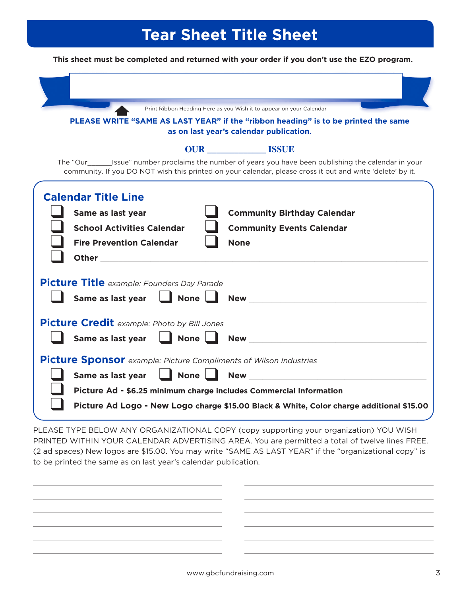# **Tear Sheet Title Sheet**

**This sheet must be completed and returned with your order if you don't use the EZO program.**

|                                                                                                                                  | Print Ribbon Heading Here as you Wish it to appear on your Calendar<br>PLEASE WRITE "SAME AS LAST YEAR" if the "ribbon heading" is to be printed the same<br>as on last year's calendar publication.                       |
|----------------------------------------------------------------------------------------------------------------------------------|----------------------------------------------------------------------------------------------------------------------------------------------------------------------------------------------------------------------------|
|                                                                                                                                  | <b>OUR</b> ISSUE                                                                                                                                                                                                           |
|                                                                                                                                  | The "Our___________Issue" number proclaims the number of years you have been publishing the calendar in your<br>community. If you DO NOT wish this printed on your calendar, please cross it out and write 'delete' by it. |
| <b>Calendar Title Line</b><br>Same as last year<br><b>School Activities Calendar</b><br><b>Fire Prevention Calendar</b><br>Other | <b>Community Birthday Calendar</b><br><b>Community Events Calendar</b><br><b>None</b>                                                                                                                                      |
| <b>Picture Title</b> example: Founders Day Parade<br>Same as last year $\Box$ None $\Box$                                        | <b>New</b>                                                                                                                                                                                                                 |
| <b>Picture Credit</b> example: Photo by Bill Jones<br>Same as last year $\Box$ None $\Box$                                       | <b>New</b>                                                                                                                                                                                                                 |
| <b>Picture Sponsor</b> example: Picture Compliments of Wilson Industries                                                         |                                                                                                                                                                                                                            |
| $\Box$ None $\Box$<br>Same as last year                                                                                          | <b>New</b>                                                                                                                                                                                                                 |
| Picture Ad - \$6.25 minimum charge includes Commercial Information                                                               | Picture Ad Logo - New Logo charge \$15.00 Black & White, Color charge additional \$15.00                                                                                                                                   |

PLEASE TYPE BELOW ANY ORGANIZATIONAL COPY (copy supporting your organization) YOU WISH PRINTED WITHIN YOUR CALENDAR ADVERTISING AREA. You are permitted a total of twelve lines FREE. (2 ad spaces) New logos are \$15.00. You may write "SAME AS LAST YEAR" if the "organizational copy" is to be printed the same as on last year's calendar publication.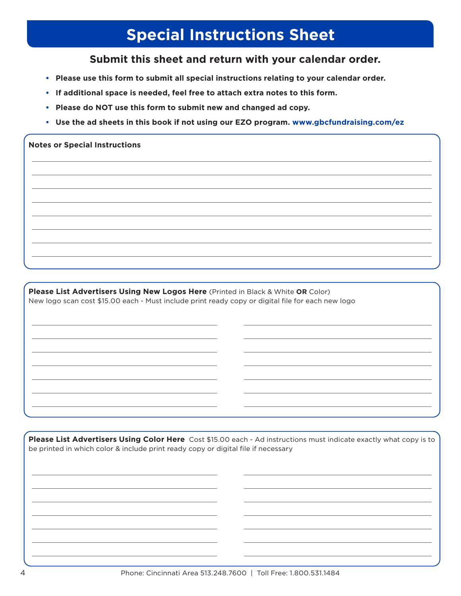## **Special Instructions Sheet**

#### **Submit this sheet and return with your calendar order.**

- **• Please use this form to submit all special instructions relating to your calendar order.**
- **• If additional space is needed, feel free to attach extra notes to this form.**
- **• Please do NOT use this form to submit new and changed ad copy.**
- **• Use the ad sheets in this book if not using our EZO program. www.gbcfundraising.com/ez**

#### **Notes or Special Instructions**

**Please List Advertisers Using New Logos Here** (Printed in Black & White **OR** Color) New logo scan cost \$15.00 each - Must include print ready copy or digital file for each new logo

**Please List Advertisers Using Color Here** Cost \$15.00 each - Ad instructions must indicate exactly what copy is to be printed in which color & include print ready copy or digital file if necessary